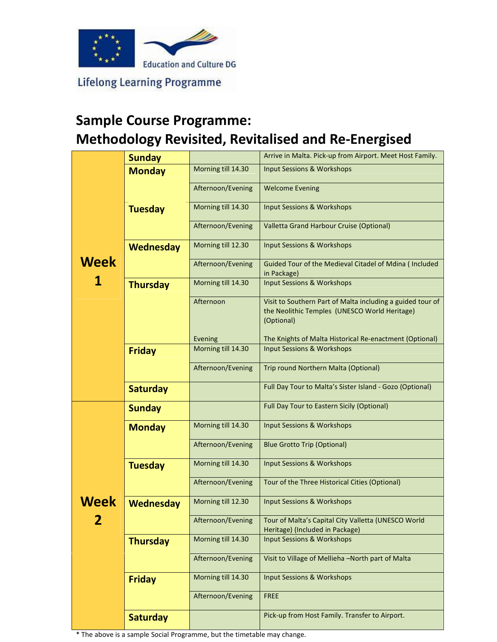

**Lifelong Learning Programme** 

## Sample Course Programme: Methodology Revisited, Revitalised and Re-Energised

|           | <b>Sunday</b>    |                               | Arrive in Malta. Pick-up from Airport. Meet Host Family.                                                    |  |  |
|-----------|------------------|-------------------------------|-------------------------------------------------------------------------------------------------------------|--|--|
| Week<br>1 | <b>Monday</b>    | Morning till 14.30            | <b>Input Sessions &amp; Workshops</b>                                                                       |  |  |
|           |                  |                               |                                                                                                             |  |  |
|           |                  | Afternoon/Evening             | <b>Welcome Evening</b>                                                                                      |  |  |
|           |                  | Morning till 14.30            | <b>Input Sessions &amp; Workshops</b>                                                                       |  |  |
|           | <b>Tuesday</b>   |                               |                                                                                                             |  |  |
|           |                  | Afternoon/Evening             | Valletta Grand Harbour Cruise (Optional)                                                                    |  |  |
|           | <b>Wednesday</b> | Morning till 12.30            | <b>Input Sessions &amp; Workshops</b>                                                                       |  |  |
|           |                  | Afternoon/Evening             | Guided Tour of the Medieval Citadel of Mdina ( Included                                                     |  |  |
|           |                  |                               | in Package)                                                                                                 |  |  |
|           | <b>Thursday</b>  | Morning till 14.30            | <b>Input Sessions &amp; Workshops</b>                                                                       |  |  |
|           |                  |                               |                                                                                                             |  |  |
|           |                  | Afternoon                     | Visit to Southern Part of Malta including a guided tour of<br>the Neolithic Temples (UNESCO World Heritage) |  |  |
|           |                  |                               | (Optional)                                                                                                  |  |  |
|           |                  |                               |                                                                                                             |  |  |
|           |                  | Evening<br>Morning till 14.30 | The Knights of Malta Historical Re-enactment (Optional)                                                     |  |  |
|           | <b>Friday</b>    |                               | <b>Input Sessions &amp; Workshops</b>                                                                       |  |  |
|           |                  | Afternoon/Evening             | Trip round Northern Malta (Optional)                                                                        |  |  |
|           | <b>Saturday</b>  |                               | Full Day Tour to Malta's Sister Island - Gozo (Optional)                                                    |  |  |
|           |                  |                               |                                                                                                             |  |  |
|           | <b>Sunday</b>    |                               | Full Day Tour to Eastern Sicily (Optional)                                                                  |  |  |
|           | <b>Monday</b>    | Morning till 14.30            | <b>Input Sessions &amp; Workshops</b>                                                                       |  |  |
|           |                  |                               |                                                                                                             |  |  |
|           |                  | Afternoon/Evening             | <b>Blue Grotto Trip (Optional)</b>                                                                          |  |  |
|           | <b>Tuesday</b>   | Morning till 14.30            | <b>Input Sessions &amp; Workshops</b>                                                                       |  |  |
|           |                  |                               |                                                                                                             |  |  |
|           |                  | Afternoon/Evening             | Tour of the Three Historical Cities (Optional)                                                              |  |  |
| Week      | <b>Wednesday</b> | Morning till 12.30            | <b>Input Sessions &amp; Workshops</b>                                                                       |  |  |
| 2         |                  | Afternoon/Evening             | Tour of Malta's Capital City Valletta (UNESCO World                                                         |  |  |
|           |                  |                               | Heritage) (Included in Package)                                                                             |  |  |
|           | <b>Thursday</b>  | Morning till 14.30            | <b>Input Sessions &amp; Workshops</b>                                                                       |  |  |
|           |                  |                               |                                                                                                             |  |  |
|           |                  | Afternoon/Evening             | Visit to Village of Mellieha -North part of Malta                                                           |  |  |
|           | <b>Friday</b>    | Morning till 14.30            | <b>Input Sessions &amp; Workshops</b>                                                                       |  |  |
|           |                  |                               |                                                                                                             |  |  |
|           |                  | Afternoon/Evening             | <b>FREE</b>                                                                                                 |  |  |
|           | <b>Saturday</b>  |                               | Pick-up from Host Family. Transfer to Airport.                                                              |  |  |

\* The above is a sample Social Programme, but the timetable may change.